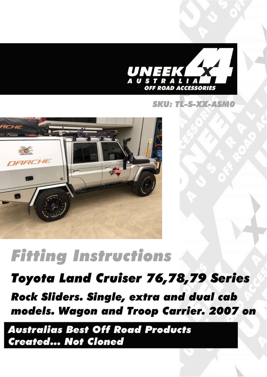

#### SKU: TL-S-XX-ASMO



# **Fitting Instructions**

## Toyota Land Cruiser 76,78,79 Series

**Rock Sliders. Single, extra and dual cab** models. Wagon and Troop Carrier. 2007 on

**Australias Best Off Road Products Created... Not Cloned**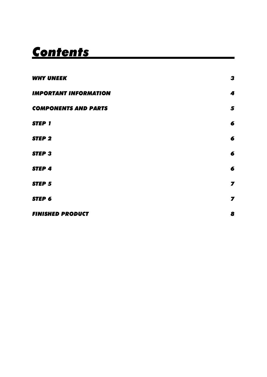## **Contents**

| <b>WHY UNEEK</b>             | 3                           |
|------------------------------|-----------------------------|
| <b>IMPORTANT INFORMATION</b> | 4                           |
| <b>COMPONENTS AND PARTS</b>  | 5                           |
| <b>STEP 1</b>                | 6                           |
| <b>STEP 2</b>                | 6                           |
| <b>STEP 3</b>                | 6                           |
| <b>STEP 4</b>                | 6                           |
| <b>STEP 5</b>                | $\overline{\mathbf{z}}$     |
| STEP 6                       | $\overline{\boldsymbol{z}}$ |
| <b>FINISHED PRODUCT</b>      | 8                           |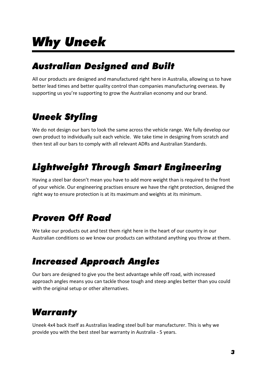## **Why Uneek**

### **Australian Designed and Built**

All our products are designed and manufactured right here in Australia, allowing us to have better lead times and better quality control than companies manufacturing overseas. By supporting us you're supporting to grow the Australian economy and our brand.

## **Uneek Styling**

We do not design our bars to look the same across the vehicle range. We fully develop our own product to individually suit each vehicle. We take time in designing from scratch and then test all our bars to comply with all relevant ADRs and Australian Standards.

## **Lightweight Through Smart Engineering**

Having a steel bar doesn't mean you have to add more weight than is required to the front of your vehicle. Our engineering practises ensure we have the right protection, designed the right way to ensure protection is at its maximum and weights at its minimum.

## **Proven Off Road**

We take our products out and test them right here in the heart of our country in our Australian conditions so we know our products can withstand anything you throw at them.

## **Increased Approach Angles**

Our bars are designed to give you the best advantage while off road, with increased approach angles means you can tackle those tough and steep angles better than you could with the original setup or other alternatives.

## **Warranty**

Uneek 4x4 back itself as Australias leading steel bull bar manufacturer. This is why we provide you with the best steel bar warranty in Australia - 5 years.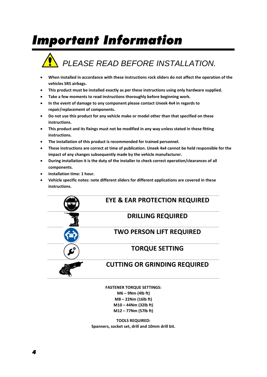## **Important Information**

## *PLEASE READ BEFORE INSTALLATION.*

- **When installed in accordance with these instructions rock sliders do not affect the operation of the vehicles SRS airbags.**
- **This product must be installed exactly as per these instructions using only hardware supplied.**
- **Take a few moments to read instructions thoroughly before beginning work.**
- **In the event of damage to any component please contact Uneek 4x4 in regards to repair/replacement of components.**
- **Do not use this product for any vehicle make or model other than that specified on these instructions.**
- **This product and its fixings must not be modified in any way unless stated in these fitting instructions.**
- **The installation of this product is recommended for trained personnel.**
- **These instructions are correct at time of publication. Uneek 4x4 cannot be held responsible for the impact of any changes subsequently made by the vehicle manufacturer.**
- **During installation it is the duty of the installer to check correct operation/clearances of all components.**
- **Installation time: 1 hour.**
- **Vehicle specific notes: note different sliders for different applications are covered in these instructions.**

#### **EYE & EAR PROTECTION REQUIRED**

#### **DRILLING REQUIRED**

#### **TWO PERSON LIFT REQUIRED**

#### **TORQUE SETTING**

#### **CUTTING OR GRINDING REQUIRED**

**FASTENER TORQUE SETTINGS: M6 – 9Nm (4lb ft) M8 – 22Nm (16lb ft) M10 – 44Nm (32lb ft) M12 – 77Nm (57lb ft)**

**TOOLS REQUIRED: Spanners, socket set, drill and 10mm drill bit.**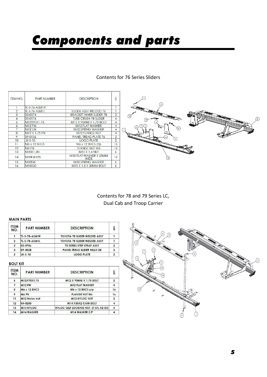## **Components and parts**

#### Contents for 76 Series Sliders

| <b>ITEM NO.</b> | <b>PART NUMBER</b>  | <b>DESCRIPTION</b>                    | Ğ                    |                |
|-----------------|---------------------|---------------------------------------|----------------------|----------------|
|                 | TL-S-76-ASM1R       |                                       |                      |                |
| 2               | TL-S-76-ASM1L       | SLIDER ASSY WELDED 76                 |                      |                |
| 3               | 03-0374             | <b>BRACKET INNER SLIDER 78</b>        | $\overline{2}$       | (12)           |
| 4               | 05-0176             | <b>TUBE CRUSH 78 SLIDER</b>           |                      | $\Omega$       |
| 5               | M12X90X1.75         | M12 X 90MM X 1.75 BOLT                |                      |                |
| 6               | M <sub>12</sub> FW  | M12 FLAT WASHER                       |                      | ∞              |
|                 | M12 SW              | <b>M12 SPRING WASHER</b>              |                      | (8)            |
| 8               | M12 X 1.75 FN       | <b>M12 FLANGE NUT</b>                 | 4                    |                |
| 9               | 09-0136             | <b>PANEL TREAD PLATE 76</b>           | 2                    |                |
| 10              | $JK-S-10$           | <b>LOGO PLATE</b>                     | $\mathbf{2}^{\circ}$ | 3 <sup>1</sup> |
| $\mathbf{1}$    | $M6 \times 12$ BHCS | $M6 \times 12$ BHCS $z/p$             | 16                   |                |
| 12              | M6 FN               | <b>FLANGE NUT M6</b>                  | 16                   |                |
| 13              | M10X1.5N            | <b>M10 X 1.5 NUT</b>                  | 6                    |                |
| 14              | M10FWX25            | M10 FLAT WASHER X 25MM<br><b>WIDE</b> | 12                   | (14)           |
| 15              | <b>M10SW</b>        | M10 SPRING WASHER                     | 6.                   |                |
| 16              | M10X30              | M10 X 1.5 X 30MM BOLT                 | 6                    |                |

Contents for 78 and 79 Series LC, Dual Cab and Troop Carrier

#### **MAIN PARTS**

| <b>ITEM</b><br>NO. | <b>PART NUMBER</b> | <b>DESCRIPTION</b>                 | QTY.                     |
|--------------------|--------------------|------------------------------------|--------------------------|
|                    | $TL-S-78-ASM1R$    | TOYOTA 78 SLIDER WELDED ASSY       |                          |
| $\overline{2}$     | $TL-S-78-ASM1L$    | TOYOTA 78 SLIDER WELDED ASSY       |                          |
| 3                  | 03-0786            | <b>70 SERIES STEP STRAP ASSY</b>   | 2                        |
| 4                  | 09-0028            | <b>PANEL TREAD SLIDER HILUX 05</b> | $\mathcal{D}$            |
| 5                  | $JK-S-10$          | <b>LOGO PLATE</b>                  | $\overline{\phantom{a}}$ |

#### **BOLT KIT**

| <b>ITEM</b><br>NO. | <b>PART NUMBER</b>  | <b>DESCRIPTION</b>                    | QTY.           |
|--------------------|---------------------|---------------------------------------|----------------|
| 6                  | M12X90X1.75         | M12 X 90MM X 1.75 BOLT                | $\overline{2}$ |
| 7                  | <b>M12 FW</b>       | <b>M12 FLAT WASHER</b>                | $\overline{4}$ |
| 8                  | <b>M6 x 12 BHCS</b> | $M6 \times 12$ BHCS $z/p$             | 16             |
| 9                  | M <sub>6</sub> FN   | <b>FLANGE NUT M6</b>                  | 16             |
| 11                 | M12 Nyloc nut       | <b>M12 NYLOC NUT</b>                  | $\overline{2}$ |
| 12                 | 04-0280             | M14 X30X2 CAM BOLT                    | $\overline{4}$ |
| 13                 | <b>M14 NYLOC</b>    | NYLOC SELF LOCKING NUT, ST STL A2 ISO | $\overline{4}$ |
| 14                 | <b>M14 WASHER</b>   | M14 WASHER Z/P                        |                |

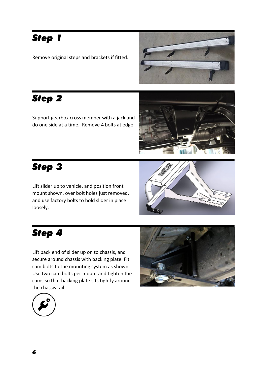### **Step 1**

Remove original steps and brackets if fitted.



### **Step 2**

Support gearbox cross member with a jack and do one side at a time. Remove 4 bolts at edge.



### **Step 3**

Lift slider up to vehicle, and position front mount shown, over bolt holes just removed, and use factory bolts to hold slider in place loosely.



### **Step 4**

Lift back end of slider up on to chassis, and secure around chassis with backing plate. Fit cam bolts to the mounting system as shown. Use two cam bolts per mount and tighten the cams so that backing plate sits tightly around the chassis rail.



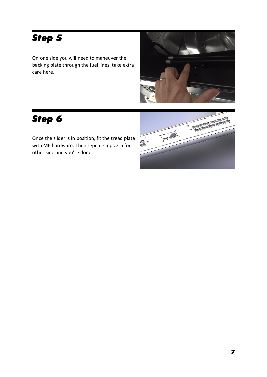## **Step 5**

On one side you will need to maneuver the backing plate through the fuel lines, take extra care here.



### **Step 6**

Once the slider is in position, fit the tread plate with M6 hardware. Then repeat steps 2-5 for other side and you're done.

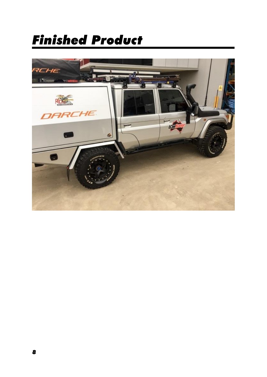## **Finished Product**